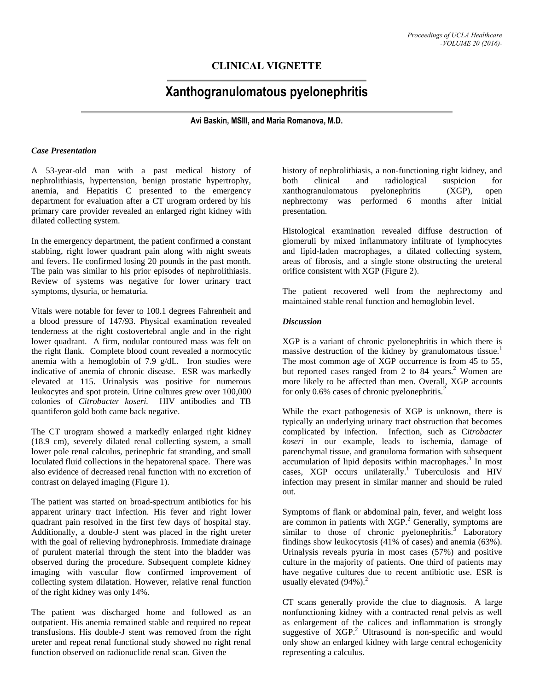# **CLINICAL VIGNETTE**

# **Xanthogranulomatous pyelonephritis**

**Avi Baskin, MSIII, and Maria Romanova, M.D.**

### *Case Presentation*

A 53-year-old man with a past medical history of nephrolithiasis, hypertension, benign prostatic hypertrophy, anemia, and Hepatitis C presented to the emergency department for evaluation after a CT urogram ordered by his primary care provider revealed an enlarged right kidney with dilated collecting system.

In the emergency department, the patient confirmed a constant stabbing, right lower quadrant pain along with night sweats and fevers. He confirmed losing 20 pounds in the past month. The pain was similar to his prior episodes of nephrolithiasis. Review of systems was negative for lower urinary tract symptoms, dysuria, or hematuria.

Vitals were notable for fever to 100.1 degrees Fahrenheit and a blood pressure of 147/93. Physical examination revealed tenderness at the right costovertebral angle and in the right lower quadrant. A firm, nodular contoured mass was felt on the right flank. Complete blood count revealed a normocytic anemia with a hemoglobin of 7.9 g/dL. Iron studies were indicative of anemia of chronic disease. ESR was markedly elevated at 115. Urinalysis was positive for numerous leukocytes and spot protein*.* Urine cultures grew over 100,000 colonies of *Citrobacter koseri.* HIV antibodies and TB quantiferon gold both came back negative.

The CT urogram showed a markedly enlarged right kidney (18.9 cm), severely dilated renal collecting system, a small lower pole renal calculus, perinephric fat stranding, and small loculated fluid collections in the hepatorenal space. There was also evidence of decreased renal function with no excretion of contrast on delayed imaging (Figure 1).

The patient was started on broad-spectrum antibiotics for his apparent urinary tract infection. His fever and right lower quadrant pain resolved in the first few days of hospital stay. Additionally, a double-J stent was placed in the right ureter with the goal of relieving hydronephrosis. Immediate drainage of purulent material through the stent into the bladder was observed during the procedure. Subsequent complete kidney imaging with vascular flow confirmed improvement of collecting system dilatation. However, relative renal function of the right kidney was only 14%.

The patient was discharged home and followed as an outpatient. His anemia remained stable and required no repeat transfusions. His double-J stent was removed from the right ureter and repeat renal functional study showed no right renal function observed on radionuclide renal scan. Given the

history of nephrolithiasis, a non-functioning right kidney, and both clinical and radiological suspicion for xanthogranulomatous pyelonephritis (XGP), open nephrectomy was performed 6 months after initial presentation.

Histological examination revealed diffuse destruction of glomeruli by mixed inflammatory infiltrate of lymphocytes and lipid-laden macrophages, a dilated collecting system, areas of fibrosis, and a single stone obstructing the ureteral orifice consistent with XGP (Figure 2).

The patient recovered well from the nephrectomy and maintained stable renal function and hemoglobin level.

### *Discussion*

XGP is a variant of chronic pyelonephritis in which there is massive destruction of the kidney by granulomatous tissue.<sup>1</sup> The most common age of XGP occurrence is from 45 to 55, but reported cases ranged from 2 to 84 years.<sup>2</sup> Women are more likely to be affected than men. Overall, XGP accounts for only 0.6% cases of chronic pyelonephritis.<sup>2</sup>

While the exact pathogenesis of XGP is unknown, there is typically an underlying urinary tract obstruction that becomes complicated by infection. Infection, such as C*itrobacter koseri* in our example, leads to ischemia, damage of parenchymal tissue, and granuloma formation with subsequent accumulation of lipid deposits within macrophages.<sup>3</sup> In most cases,  $XGP$  occurs unilaterally.<sup>1</sup> Tuberculosis and HIV infection may present in similar manner and should be ruled out.

Symptoms of flank or abdominal pain, fever, and weight loss are common in patients with XGP.<sup>2</sup> Generally, symptoms are similar to those of chronic pyelonephritis. $3$  Laboratory findings show leukocytosis (41% of cases) and anemia (63%). Urinalysis reveals pyuria in most cases (57%) and positive culture in the majority of patients. One third of patients may have negative cultures due to recent antibiotic use. ESR is usually elevated  $(94\%)$ .<sup>2</sup>

CT scans generally provide the clue to diagnosis. A large nonfunctioning kidney with a contracted renal pelvis as well as enlargement of the calices and inflammation is strongly suggestive of XGP.<sup>2</sup> Ultrasound is non-specific and would only show an enlarged kidney with large central echogenicity representing a calculus.